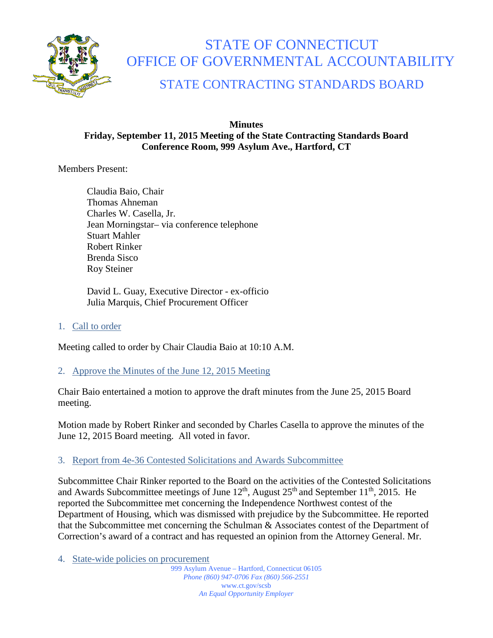

# STATE OF CONNECTICUT OFFICE OF GOVERNMENTAL ACCOUNTABILITY

# STATE CONTRACTING STANDARDS BOARD

#### **Minutes Friday, September 11, 2015 Meeting of the State Contracting Standards Board Conference Room, 999 Asylum Ave., Hartford, CT**

Members Present:

Claudia Baio, Chair Thomas Ahneman Charles W. Casella, Jr. Jean Morningstar– via conference telephone Stuart Mahler Robert Rinker Brenda Sisco Roy Steiner

David L. Guay, Executive Director - ex-officio Julia Marquis, Chief Procurement Officer

1. Call to order

Meeting called to order by Chair Claudia Baio at 10:10 A.M.

2. Approve the Minutes of the June 12, 2015 Meeting

Chair Baio entertained a motion to approve the draft minutes from the June 25, 2015 Board meeting.

Motion made by Robert Rinker and seconded by Charles Casella to approve the minutes of the June 12, 2015 Board meeting. All voted in favor.

## 3. Report from 4e-36 Contested Solicitations and Awards Subcommittee

Subcommittee Chair Rinker reported to the Board on the activities of the Contested Solicitations and Awards Subcommittee meetings of June  $12<sup>th</sup>$ , August  $25<sup>th</sup>$  and September  $11<sup>th</sup>$ , 2015. He reported the Subcommittee met concerning the Independence Northwest contest of the Department of Housing, which was dismissed with prejudice by the Subcommittee. He reported that the Subcommittee met concerning the Schulman & Associates contest of the Department of Correction's award of a contract and has requested an opinion from the Attorney General. Mr.

4. State-wide policies on procurement

999 Asylum Avenue – Hartford, Connecticut 06105 *Phone (860) 947-0706 Fax (860) 566-2551* www.ct.gov/scsb *An Equal Opportunity Employer*